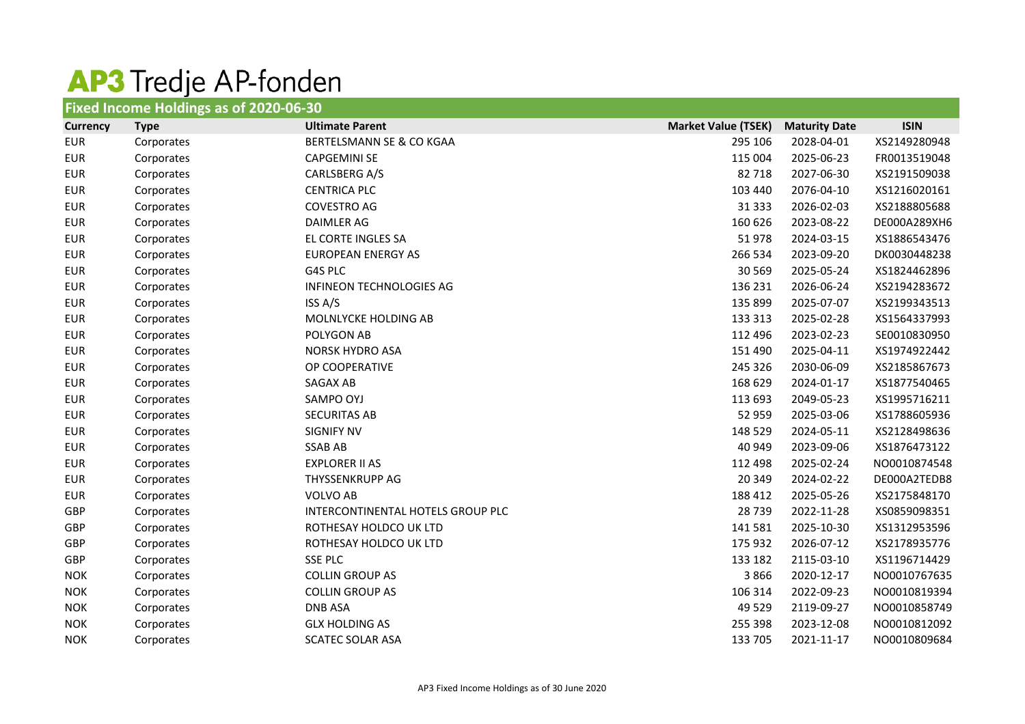## AP3 Tredje AP-fonden

| Fixed Income Holdings as of 2020-06-30 |             |                                   |                            |                      |              |
|----------------------------------------|-------------|-----------------------------------|----------------------------|----------------------|--------------|
| <b>Currency</b>                        | <b>Type</b> | <b>Ultimate Parent</b>            | <b>Market Value (TSEK)</b> | <b>Maturity Date</b> | <b>ISIN</b>  |
| <b>EUR</b>                             | Corporates  | BERTELSMANN SE & CO KGAA          | 295 106                    | 2028-04-01           | XS2149280948 |
| <b>EUR</b>                             | Corporates  | <b>CAPGEMINI SE</b>               | 115 004                    | 2025-06-23           | FR0013519048 |
| <b>EUR</b>                             | Corporates  | CARLSBERG A/S                     | 82718                      | 2027-06-30           | XS2191509038 |
| <b>EUR</b>                             | Corporates  | <b>CENTRICA PLC</b>               | 103 440                    | 2076-04-10           | XS1216020161 |
| <b>EUR</b>                             | Corporates  | <b>COVESTRO AG</b>                | 31 3 3 3                   | 2026-02-03           | XS2188805688 |
| <b>EUR</b>                             | Corporates  | <b>DAIMLER AG</b>                 | 160 626                    | 2023-08-22           | DE000A289XH6 |
| <b>EUR</b>                             | Corporates  | EL CORTE INGLES SA                | 51978                      | 2024-03-15           | XS1886543476 |
| <b>EUR</b>                             | Corporates  | <b>EUROPEAN ENERGY AS</b>         | 266 534                    | 2023-09-20           | DK0030448238 |
| <b>EUR</b>                             | Corporates  | G4S PLC                           | 30 5 69                    | 2025-05-24           | XS1824462896 |
| <b>EUR</b>                             | Corporates  | INFINEON TECHNOLOGIES AG          | 136 231                    | 2026-06-24           | XS2194283672 |
| <b>EUR</b>                             | Corporates  | ISS A/S                           | 135 899                    | 2025-07-07           | XS2199343513 |
| <b>EUR</b>                             | Corporates  | MOLNLYCKE HOLDING AB              | 133 313                    | 2025-02-28           | XS1564337993 |
| <b>EUR</b>                             | Corporates  | POLYGON AB                        | 112 496                    | 2023-02-23           | SE0010830950 |
| <b>EUR</b>                             | Corporates  | NORSK HYDRO ASA                   | 151 490                    | 2025-04-11           | XS1974922442 |
| <b>EUR</b>                             | Corporates  | OP COOPERATIVE                    | 245 326                    | 2030-06-09           | XS2185867673 |
| <b>EUR</b>                             | Corporates  | SAGAX AB                          | 168 629                    | 2024-01-17           | XS1877540465 |
| <b>EUR</b>                             | Corporates  | SAMPO OYJ                         | 113 693                    | 2049-05-23           | XS1995716211 |
| <b>EUR</b>                             | Corporates  | <b>SECURITAS AB</b>               | 52 959                     | 2025-03-06           | XS1788605936 |
| <b>EUR</b>                             | Corporates  | <b>SIGNIFY NV</b>                 | 148 529                    | 2024-05-11           | XS2128498636 |
| <b>EUR</b>                             | Corporates  | <b>SSAB AB</b>                    | 40 949                     | 2023-09-06           | XS1876473122 |
| <b>EUR</b>                             | Corporates  | <b>EXPLORER II AS</b>             | 112 498                    | 2025-02-24           | NO0010874548 |
| <b>EUR</b>                             | Corporates  | THYSSENKRUPP AG                   | 20 349                     | 2024-02-22           | DE000A2TEDB8 |
| <b>EUR</b>                             | Corporates  | <b>VOLVO AB</b>                   | 188 412                    | 2025-05-26           | XS2175848170 |
| GBP                                    | Corporates  | INTERCONTINENTAL HOTELS GROUP PLC | 28 7 39                    | 2022-11-28           | XS0859098351 |
| GBP                                    | Corporates  | ROTHESAY HOLDCO UK LTD            | 141 581                    | 2025-10-30           | XS1312953596 |
| GBP                                    | Corporates  | ROTHESAY HOLDCO UK LTD            | 175 932                    | 2026-07-12           | XS2178935776 |
| GBP                                    | Corporates  | <b>SSE PLC</b>                    | 133 182                    | 2115-03-10           | XS1196714429 |
| <b>NOK</b>                             | Corporates  | <b>COLLIN GROUP AS</b>            | 3866                       | 2020-12-17           | NO0010767635 |
| <b>NOK</b>                             | Corporates  | <b>COLLIN GROUP AS</b>            | 106 314                    | 2022-09-23           | NO0010819394 |
| <b>NOK</b>                             | Corporates  | <b>DNB ASA</b>                    | 49 5 29                    | 2119-09-27           | NO0010858749 |
| <b>NOK</b>                             | Corporates  | <b>GLX HOLDING AS</b>             | 255 398                    | 2023-12-08           | NO0010812092 |
| <b>NOK</b>                             | Corporates  | <b>SCATEC SOLAR ASA</b>           | 133 705                    | 2021-11-17           | NO0010809684 |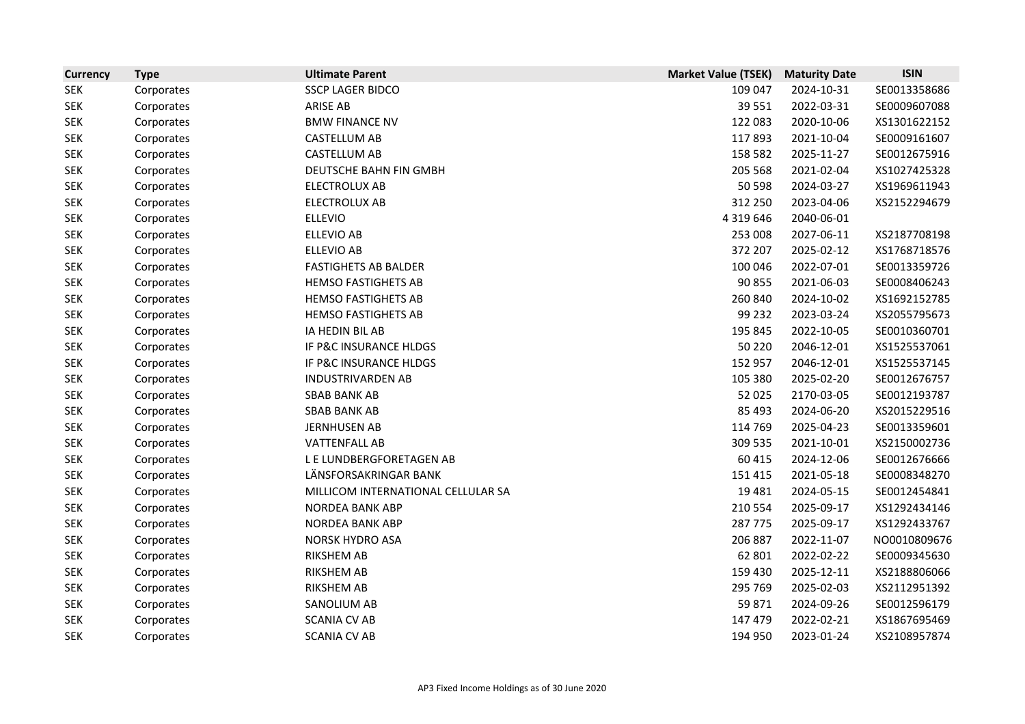| <b>Currency</b> | <b>Type</b> | <b>Ultimate Parent</b>             | <b>Market Value (TSEK)</b> | <b>Maturity Date</b> | <b>ISIN</b>  |
|-----------------|-------------|------------------------------------|----------------------------|----------------------|--------------|
| <b>SEK</b>      | Corporates  | <b>SSCP LAGER BIDCO</b>            | 109 047                    | 2024-10-31           | SE0013358686 |
| <b>SEK</b>      | Corporates  | <b>ARISE AB</b>                    | 39 5 51                    | 2022-03-31           | SE0009607088 |
| <b>SEK</b>      | Corporates  | <b>BMW FINANCE NV</b>              | 122 083                    | 2020-10-06           | XS1301622152 |
| <b>SEK</b>      | Corporates  | <b>CASTELLUM AB</b>                | 117893                     | 2021-10-04           | SE0009161607 |
| <b>SEK</b>      | Corporates  | CASTELLUM AB                       | 158 582                    | 2025-11-27           | SE0012675916 |
| <b>SEK</b>      | Corporates  | DEUTSCHE BAHN FIN GMBH             | 205 568                    | 2021-02-04           | XS1027425328 |
| <b>SEK</b>      | Corporates  | <b>ELECTROLUX AB</b>               | 50 598                     | 2024-03-27           | XS1969611943 |
| <b>SEK</b>      | Corporates  | <b>ELECTROLUX AB</b>               | 312 250                    | 2023-04-06           | XS2152294679 |
| <b>SEK</b>      | Corporates  | <b>ELLEVIO</b>                     | 4 3 1 9 6 4 6              | 2040-06-01           |              |
| <b>SEK</b>      | Corporates  | <b>ELLEVIO AB</b>                  | 253 008                    | 2027-06-11           | XS2187708198 |
| <b>SEK</b>      | Corporates  | <b>ELLEVIO AB</b>                  | 372 207                    | 2025-02-12           | XS1768718576 |
| <b>SEK</b>      | Corporates  | <b>FASTIGHETS AB BALDER</b>        | 100 046                    | 2022-07-01           | SE0013359726 |
| <b>SEK</b>      | Corporates  | <b>HEMSO FASTIGHETS AB</b>         | 90 855                     | 2021-06-03           | SE0008406243 |
| <b>SEK</b>      | Corporates  | <b>HEMSO FASTIGHETS AB</b>         | 260 840                    | 2024-10-02           | XS1692152785 |
| <b>SEK</b>      | Corporates  | <b>HEMSO FASTIGHETS AB</b>         | 99 232                     | 2023-03-24           | XS2055795673 |
| <b>SEK</b>      | Corporates  | IA HEDIN BIL AB                    | 195 845                    | 2022-10-05           | SE0010360701 |
| <b>SEK</b>      | Corporates  | IF P&C INSURANCE HLDGS             | 50 2 20                    | 2046-12-01           | XS1525537061 |
| <b>SEK</b>      | Corporates  | IF P&C INSURANCE HLDGS             | 152 957                    | 2046-12-01           | XS1525537145 |
| <b>SEK</b>      | Corporates  | <b>INDUSTRIVARDEN AB</b>           | 105 380                    | 2025-02-20           | SE0012676757 |
| <b>SEK</b>      | Corporates  | <b>SBAB BANK AB</b>                | 52 025                     | 2170-03-05           | SE0012193787 |
| <b>SEK</b>      | Corporates  | <b>SBAB BANK AB</b>                | 85 493                     | 2024-06-20           | XS2015229516 |
| <b>SEK</b>      | Corporates  | <b>JERNHUSEN AB</b>                | 114 769                    | 2025-04-23           | SE0013359601 |
| <b>SEK</b>      | Corporates  | <b>VATTENFALL AB</b>               | 309 535                    | 2021-10-01           | XS2150002736 |
| <b>SEK</b>      | Corporates  | L E LUNDBERGFORETAGEN AB           | 60 415                     | 2024-12-06           | SE0012676666 |
| <b>SEK</b>      | Corporates  | LÄNSFORSAKRINGAR BANK              | 151 415                    | 2021-05-18           | SE0008348270 |
| <b>SEK</b>      | Corporates  | MILLICOM INTERNATIONAL CELLULAR SA | 19 4 8 1                   | 2024-05-15           | SE0012454841 |
| <b>SEK</b>      | Corporates  | <b>NORDEA BANK ABP</b>             | 210 554                    | 2025-09-17           | XS1292434146 |
| <b>SEK</b>      | Corporates  | <b>NORDEA BANK ABP</b>             | 287 775                    | 2025-09-17           | XS1292433767 |
| <b>SEK</b>      | Corporates  | NORSK HYDRO ASA                    | 206 887                    | 2022-11-07           | NO0010809676 |
| <b>SEK</b>      | Corporates  | <b>RIKSHEM AB</b>                  | 62 801                     | 2022-02-22           | SE0009345630 |
| <b>SEK</b>      | Corporates  | <b>RIKSHEM AB</b>                  | 159 430                    | 2025-12-11           | XS2188806066 |
| <b>SEK</b>      | Corporates  | <b>RIKSHEM AB</b>                  | 295 769                    | 2025-02-03           | XS2112951392 |
| <b>SEK</b>      | Corporates  | SANOLIUM AB                        | 59871                      | 2024-09-26           | SE0012596179 |
| <b>SEK</b>      | Corporates  | <b>SCANIA CV AB</b>                | 147 479                    | 2022-02-21           | XS1867695469 |
| <b>SEK</b>      | Corporates  | SCANIA CV AB                       | 194 950                    | 2023-01-24           | XS2108957874 |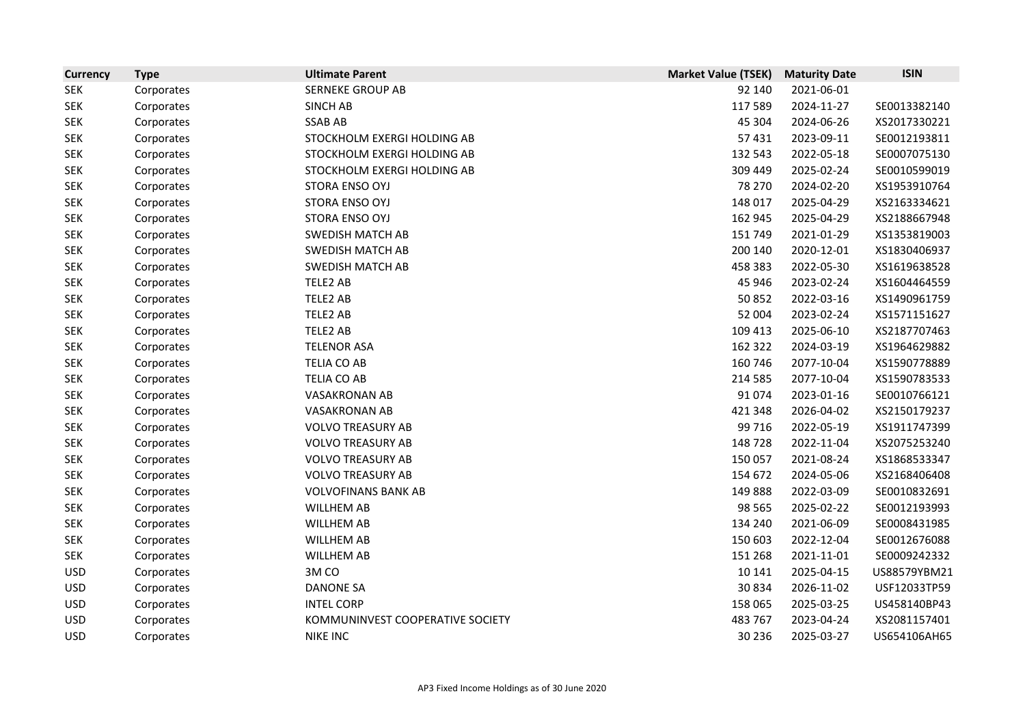| <b>Currency</b> | <b>Type</b> | <b>Ultimate Parent</b>           | <b>Market Value (TSEK)</b> | <b>Maturity Date</b> | <b>ISIN</b>  |
|-----------------|-------------|----------------------------------|----------------------------|----------------------|--------------|
| <b>SEK</b>      | Corporates  | <b>SERNEKE GROUP AB</b>          | 92 140                     | 2021-06-01           |              |
| <b>SEK</b>      | Corporates  | <b>SINCH AB</b>                  | 117589                     | 2024-11-27           | SE0013382140 |
| <b>SEK</b>      | Corporates  | <b>SSAB AB</b>                   | 45 304                     | 2024-06-26           | XS2017330221 |
| <b>SEK</b>      | Corporates  | STOCKHOLM EXERGI HOLDING AB      | 57431                      | 2023-09-11           | SE0012193811 |
| <b>SEK</b>      | Corporates  | STOCKHOLM EXERGI HOLDING AB      | 132 543                    | 2022-05-18           | SE0007075130 |
| <b>SEK</b>      | Corporates  | STOCKHOLM EXERGI HOLDING AB      | 309 449                    | 2025-02-24           | SE0010599019 |
| <b>SEK</b>      | Corporates  | STORA ENSO OYJ                   | 78 270                     | 2024-02-20           | XS1953910764 |
| <b>SEK</b>      | Corporates  | STORA ENSO OYJ                   | 148 017                    | 2025-04-29           | XS2163334621 |
| <b>SEK</b>      | Corporates  | STORA ENSO OYJ                   | 162 945                    | 2025-04-29           | XS2188667948 |
| <b>SEK</b>      | Corporates  | <b>SWEDISH MATCH AB</b>          | 151 749                    | 2021-01-29           | XS1353819003 |
| <b>SEK</b>      | Corporates  | <b>SWEDISH MATCH AB</b>          | 200 140                    | 2020-12-01           | XS1830406937 |
| <b>SEK</b>      | Corporates  | <b>SWEDISH MATCH AB</b>          | 458 383                    | 2022-05-30           | XS1619638528 |
| <b>SEK</b>      | Corporates  | TELE2 AB                         | 45 946                     | 2023-02-24           | XS1604464559 |
| <b>SEK</b>      | Corporates  | TELE2 AB                         | 50852                      | 2022-03-16           | XS1490961759 |
| <b>SEK</b>      | Corporates  | TELE2 AB                         | 52 004                     | 2023-02-24           | XS1571151627 |
| <b>SEK</b>      | Corporates  | TELE2 AB                         | 109 413                    | 2025-06-10           | XS2187707463 |
| <b>SEK</b>      | Corporates  | <b>TELENOR ASA</b>               | 162 322                    | 2024-03-19           | XS1964629882 |
| <b>SEK</b>      | Corporates  | TELIA CO AB                      | 160 746                    | 2077-10-04           | XS1590778889 |
| <b>SEK</b>      | Corporates  | TELIA CO AB                      | 214 585                    | 2077-10-04           | XS1590783533 |
| <b>SEK</b>      | Corporates  | <b>VASAKRONAN AB</b>             | 91074                      | 2023-01-16           | SE0010766121 |
| <b>SEK</b>      | Corporates  | <b>VASAKRONAN AB</b>             | 421 348                    | 2026-04-02           | XS2150179237 |
| <b>SEK</b>      | Corporates  | <b>VOLVO TREASURY AB</b>         | 99 716                     | 2022-05-19           | XS1911747399 |
| <b>SEK</b>      | Corporates  | <b>VOLVO TREASURY AB</b>         | 148728                     | 2022-11-04           | XS2075253240 |
| <b>SEK</b>      | Corporates  | <b>VOLVO TREASURY AB</b>         | 150 057                    | 2021-08-24           | XS1868533347 |
| <b>SEK</b>      | Corporates  | <b>VOLVO TREASURY AB</b>         | 154 672                    | 2024-05-06           | XS2168406408 |
| <b>SEK</b>      | Corporates  | <b>VOLVOFINANS BANK AB</b>       | 149888                     | 2022-03-09           | SE0010832691 |
| <b>SEK</b>      | Corporates  | <b>WILLHEM AB</b>                | 98 5 65                    | 2025-02-22           | SE0012193993 |
| <b>SEK</b>      | Corporates  | <b>WILLHEM AB</b>                | 134 240                    | 2021-06-09           | SE0008431985 |
| <b>SEK</b>      | Corporates  | <b>WILLHEM AB</b>                | 150 603                    | 2022-12-04           | SE0012676088 |
| <b>SEK</b>      | Corporates  | <b>WILLHEM AB</b>                | 151 268                    | 2021-11-01           | SE0009242332 |
| <b>USD</b>      | Corporates  | 3M CO                            | 10 14 1                    | 2025-04-15           | US88579YBM21 |
| <b>USD</b>      | Corporates  | <b>DANONE SA</b>                 | 30834                      | 2026-11-02           | USF12033TP59 |
| <b>USD</b>      | Corporates  | <b>INTEL CORP</b>                | 158 065                    | 2025-03-25           | US458140BP43 |
| <b>USD</b>      | Corporates  | KOMMUNINVEST COOPERATIVE SOCIETY | 483 767                    | 2023-04-24           | XS2081157401 |
| <b>USD</b>      | Corporates  | <b>NIKE INC</b>                  | 30 236                     | 2025-03-27           | US654106AH65 |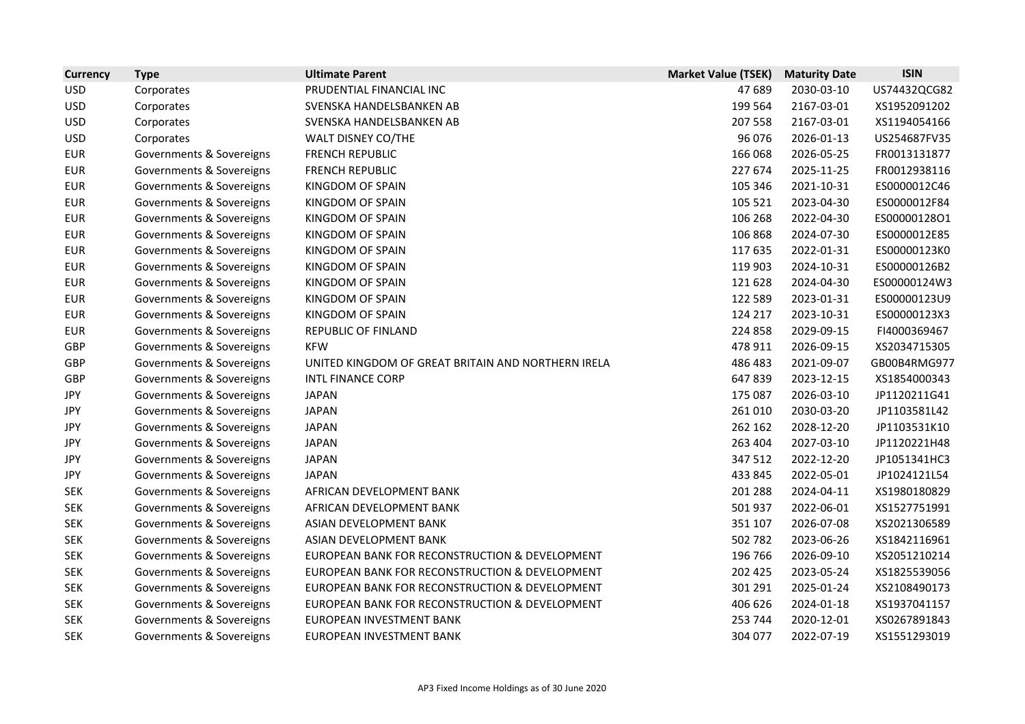| <b>Currency</b> | <b>Type</b>              | <b>Ultimate Parent</b>                             | <b>Market Value (TSEK)</b> | <b>Maturity Date</b> | <b>ISIN</b>  |
|-----------------|--------------------------|----------------------------------------------------|----------------------------|----------------------|--------------|
| <b>USD</b>      | Corporates               | PRUDENTIAL FINANCIAL INC                           | 47 689                     | 2030-03-10           | US74432QCG82 |
| <b>USD</b>      | Corporates               | SVENSKA HANDELSBANKEN AB                           | 199 564                    | 2167-03-01           | XS1952091202 |
| <b>USD</b>      | Corporates               | SVENSKA HANDELSBANKEN AB                           | 207 558                    | 2167-03-01           | XS1194054166 |
| <b>USD</b>      | Corporates               | WALT DISNEY CO/THE                                 | 96 076                     | 2026-01-13           | US254687FV35 |
| <b>EUR</b>      | Governments & Sovereigns | <b>FRENCH REPUBLIC</b>                             | 166 068                    | 2026-05-25           | FR0013131877 |
| <b>EUR</b>      | Governments & Sovereigns | <b>FRENCH REPUBLIC</b>                             | 227 674                    | 2025-11-25           | FR0012938116 |
| <b>EUR</b>      | Governments & Sovereigns | <b>KINGDOM OF SPAIN</b>                            | 105 346                    | 2021-10-31           | ES0000012C46 |
| <b>EUR</b>      | Governments & Sovereigns | <b>KINGDOM OF SPAIN</b>                            | 105 521                    | 2023-04-30           | ES0000012F84 |
| <b>EUR</b>      | Governments & Sovereigns | KINGDOM OF SPAIN                                   | 106 268                    | 2022-04-30           | ES00000128O1 |
| <b>EUR</b>      | Governments & Sovereigns | KINGDOM OF SPAIN                                   | 106 868                    | 2024-07-30           | ES0000012E85 |
| <b>EUR</b>      | Governments & Sovereigns | KINGDOM OF SPAIN                                   | 117 635                    | 2022-01-31           | ES00000123K0 |
| <b>EUR</b>      | Governments & Sovereigns | KINGDOM OF SPAIN                                   | 119 903                    | 2024-10-31           | ES00000126B2 |
| <b>EUR</b>      | Governments & Sovereigns | <b>KINGDOM OF SPAIN</b>                            | 121 628                    | 2024-04-30           | ES00000124W3 |
| <b>EUR</b>      | Governments & Sovereigns | <b>KINGDOM OF SPAIN</b>                            | 122 589                    | 2023-01-31           | ES00000123U9 |
| <b>EUR</b>      | Governments & Sovereigns | KINGDOM OF SPAIN                                   | 124 217                    | 2023-10-31           | ES00000123X3 |
| <b>EUR</b>      | Governments & Sovereigns | <b>REPUBLIC OF FINLAND</b>                         | 224 858                    | 2029-09-15           | FI4000369467 |
| GBP             | Governments & Sovereigns | <b>KFW</b>                                         | 478 911                    | 2026-09-15           | XS2034715305 |
| <b>GBP</b>      | Governments & Sovereigns | UNITED KINGDOM OF GREAT BRITAIN AND NORTHERN IRELA | 486 483                    | 2021-09-07           | GB00B4RMG977 |
| GBP             | Governments & Sovereigns | <b>INTL FINANCE CORP</b>                           | 647839                     | 2023-12-15           | XS1854000343 |
| <b>JPY</b>      | Governments & Sovereigns | <b>JAPAN</b>                                       | 175 087                    | 2026-03-10           | JP1120211G41 |
| <b>JPY</b>      | Governments & Sovereigns | <b>JAPAN</b>                                       | 261 010                    | 2030-03-20           | JP1103581L42 |
| <b>JPY</b>      | Governments & Sovereigns | <b>JAPAN</b>                                       | 262 162                    | 2028-12-20           | JP1103531K10 |
| <b>JPY</b>      | Governments & Sovereigns | <b>JAPAN</b>                                       | 263 404                    | 2027-03-10           | JP1120221H48 |
| JPY             | Governments & Sovereigns | <b>JAPAN</b>                                       | 347 512                    | 2022-12-20           | JP1051341HC3 |
| JPY             | Governments & Sovereigns | <b>JAPAN</b>                                       | 433 845                    | 2022-05-01           | JP1024121L54 |
| <b>SEK</b>      | Governments & Sovereigns | AFRICAN DEVELOPMENT BANK                           | 201 288                    | 2024-04-11           | XS1980180829 |
| <b>SEK</b>      | Governments & Sovereigns | AFRICAN DEVELOPMENT BANK                           | 501 937                    | 2022-06-01           | XS1527751991 |
| <b>SEK</b>      | Governments & Sovereigns | ASIAN DEVELOPMENT BANK                             | 351 107                    | 2026-07-08           | XS2021306589 |
| <b>SEK</b>      | Governments & Sovereigns | ASIAN DEVELOPMENT BANK                             | 502 782                    | 2023-06-26           | XS1842116961 |
| <b>SEK</b>      | Governments & Sovereigns | EUROPEAN BANK FOR RECONSTRUCTION & DEVELOPMENT     | 196 766                    | 2026-09-10           | XS2051210214 |
| <b>SEK</b>      | Governments & Sovereigns | EUROPEAN BANK FOR RECONSTRUCTION & DEVELOPMENT     | 202 425                    | 2023-05-24           | XS1825539056 |
| <b>SEK</b>      | Governments & Sovereigns | EUROPEAN BANK FOR RECONSTRUCTION & DEVELOPMENT     | 301 291                    | 2025-01-24           | XS2108490173 |
| <b>SEK</b>      | Governments & Sovereigns | EUROPEAN BANK FOR RECONSTRUCTION & DEVELOPMENT     | 406 626                    | 2024-01-18           | XS1937041157 |
| <b>SEK</b>      | Governments & Sovereigns | EUROPEAN INVESTMENT BANK                           | 253 744                    | 2020-12-01           | XS0267891843 |
| <b>SEK</b>      | Governments & Sovereigns | EUROPEAN INVESTMENT BANK                           | 304 077                    | 2022-07-19           | XS1551293019 |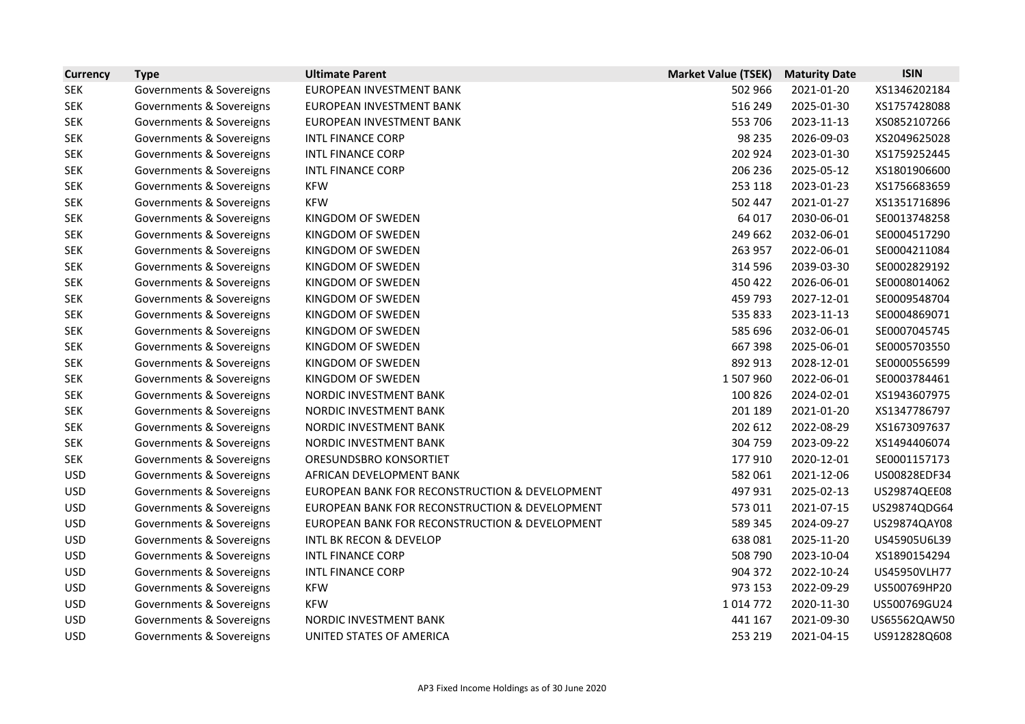| <b>Currency</b> | <b>Type</b>              | <b>Ultimate Parent</b>                         | <b>Market Value (TSEK)</b> | <b>Maturity Date</b> | <b>ISIN</b>  |
|-----------------|--------------------------|------------------------------------------------|----------------------------|----------------------|--------------|
| <b>SEK</b>      | Governments & Sovereigns | EUROPEAN INVESTMENT BANK                       | 502 966                    | 2021-01-20           | XS1346202184 |
| <b>SEK</b>      | Governments & Sovereigns | EUROPEAN INVESTMENT BANK                       | 516 249                    | 2025-01-30           | XS1757428088 |
| <b>SEK</b>      | Governments & Sovereigns | EUROPEAN INVESTMENT BANK                       | 553 706                    | 2023-11-13           | XS0852107266 |
| <b>SEK</b>      | Governments & Sovereigns | <b>INTL FINANCE CORP</b>                       | 98 2 35                    | 2026-09-03           | XS2049625028 |
| <b>SEK</b>      | Governments & Sovereigns | <b>INTL FINANCE CORP</b>                       | 202 924                    | 2023-01-30           | XS1759252445 |
| <b>SEK</b>      | Governments & Sovereigns | <b>INTL FINANCE CORP</b>                       | 206 236                    | 2025-05-12           | XS1801906600 |
| <b>SEK</b>      | Governments & Sovereigns | <b>KFW</b>                                     | 253 118                    | 2023-01-23           | XS1756683659 |
| <b>SEK</b>      | Governments & Sovereigns | <b>KFW</b>                                     | 502 447                    | 2021-01-27           | XS1351716896 |
| <b>SEK</b>      | Governments & Sovereigns | KINGDOM OF SWEDEN                              | 64 017                     | 2030-06-01           | SE0013748258 |
| <b>SEK</b>      | Governments & Sovereigns | KINGDOM OF SWEDEN                              | 249 662                    | 2032-06-01           | SE0004517290 |
| <b>SEK</b>      | Governments & Sovereigns | KINGDOM OF SWEDEN                              | 263 957                    | 2022-06-01           | SE0004211084 |
| <b>SEK</b>      | Governments & Sovereigns | KINGDOM OF SWEDEN                              | 314 596                    | 2039-03-30           | SE0002829192 |
| <b>SEK</b>      | Governments & Sovereigns | KINGDOM OF SWEDEN                              | 450 422                    | 2026-06-01           | SE0008014062 |
| <b>SEK</b>      | Governments & Sovereigns | KINGDOM OF SWEDEN                              | 459 793                    | 2027-12-01           | SE0009548704 |
| <b>SEK</b>      | Governments & Sovereigns | KINGDOM OF SWEDEN                              | 535 833                    | 2023-11-13           | SE0004869071 |
| <b>SEK</b>      | Governments & Sovereigns | KINGDOM OF SWEDEN                              | 585 696                    | 2032-06-01           | SE0007045745 |
| <b>SEK</b>      | Governments & Sovereigns | KINGDOM OF SWEDEN                              | 667 398                    | 2025-06-01           | SE0005703550 |
| <b>SEK</b>      | Governments & Sovereigns | KINGDOM OF SWEDEN                              | 892 913                    | 2028-12-01           | SE0000556599 |
| <b>SEK</b>      | Governments & Sovereigns | KINGDOM OF SWEDEN                              | 1507960                    | 2022-06-01           | SE0003784461 |
| <b>SEK</b>      | Governments & Sovereigns | NORDIC INVESTMENT BANK                         | 100 826                    | 2024-02-01           | XS1943607975 |
| <b>SEK</b>      | Governments & Sovereigns | NORDIC INVESTMENT BANK                         | 201 189                    | 2021-01-20           | XS1347786797 |
| <b>SEK</b>      | Governments & Sovereigns | NORDIC INVESTMENT BANK                         | 202 612                    | 2022-08-29           | XS1673097637 |
| <b>SEK</b>      | Governments & Sovereigns | NORDIC INVESTMENT BANK                         | 304 759                    | 2023-09-22           | XS1494406074 |
| <b>SEK</b>      | Governments & Sovereigns | ORESUNDSBRO KONSORTIET                         | 177910                     | 2020-12-01           | SE0001157173 |
| <b>USD</b>      | Governments & Sovereigns | AFRICAN DEVELOPMENT BANK                       | 582 061                    | 2021-12-06           | US00828EDF34 |
| <b>USD</b>      | Governments & Sovereigns | EUROPEAN BANK FOR RECONSTRUCTION & DEVELOPMENT | 497931                     | 2025-02-13           | US29874QEE08 |
| <b>USD</b>      | Governments & Sovereigns | EUROPEAN BANK FOR RECONSTRUCTION & DEVELOPMENT | 573 011                    | 2021-07-15           | US29874QDG64 |
| <b>USD</b>      | Governments & Sovereigns | EUROPEAN BANK FOR RECONSTRUCTION & DEVELOPMENT | 589 345                    | 2024-09-27           | US29874QAY08 |
| <b>USD</b>      | Governments & Sovereigns | <b>INTL BK RECON &amp; DEVELOP</b>             | 638081                     | 2025-11-20           | US45905U6L39 |
| <b>USD</b>      | Governments & Sovereigns | <b>INTL FINANCE CORP</b>                       | 508 790                    | 2023-10-04           | XS1890154294 |
| <b>USD</b>      | Governments & Sovereigns | <b>INTL FINANCE CORP</b>                       | 904 372                    | 2022-10-24           | US45950VLH77 |
| <b>USD</b>      | Governments & Sovereigns | <b>KFW</b>                                     | 973 153                    | 2022-09-29           | US500769HP20 |
| <b>USD</b>      | Governments & Sovereigns | <b>KFW</b>                                     | 1014772                    | 2020-11-30           | US500769GU24 |
| <b>USD</b>      | Governments & Sovereigns | NORDIC INVESTMENT BANK                         | 441 167                    | 2021-09-30           | US65562QAW50 |
| <b>USD</b>      | Governments & Sovereigns | UNITED STATES OF AMERICA                       | 253 219                    | 2021-04-15           | US912828Q608 |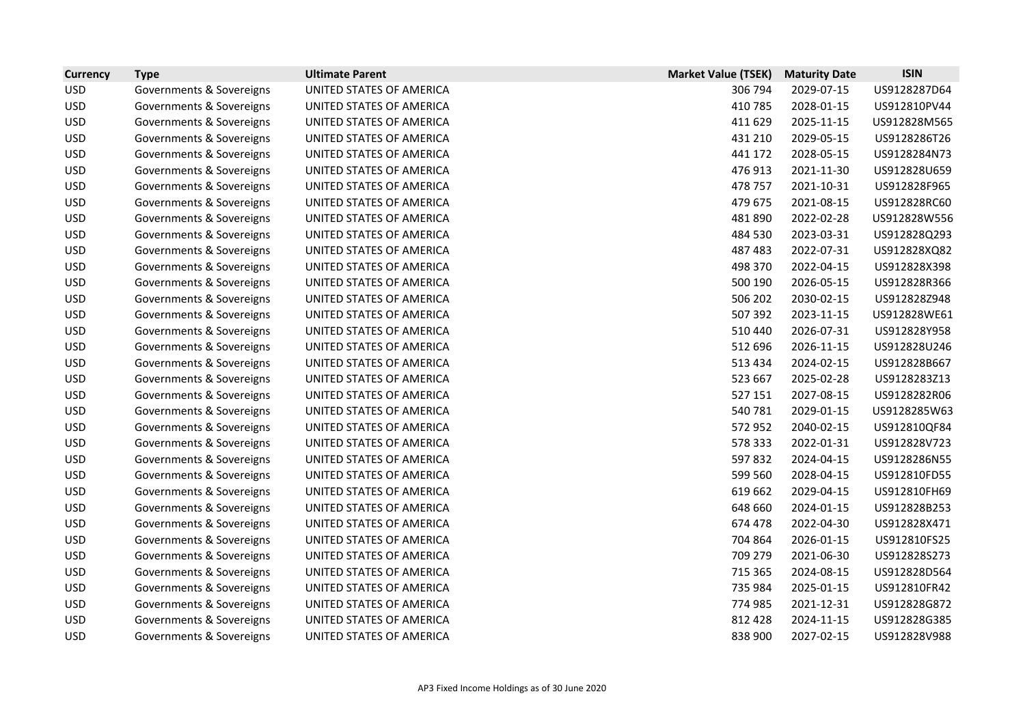| <b>Currency</b> | <b>Type</b>              | <b>Ultimate Parent</b>   | <b>Market Value (TSEK)</b> | <b>Maturity Date</b> | <b>ISIN</b>  |
|-----------------|--------------------------|--------------------------|----------------------------|----------------------|--------------|
| <b>USD</b>      | Governments & Sovereigns | UNITED STATES OF AMERICA | 306 794                    | 2029-07-15           | US9128287D64 |
| <b>USD</b>      | Governments & Sovereigns | UNITED STATES OF AMERICA | 410785                     | 2028-01-15           | US912810PV44 |
| <b>USD</b>      | Governments & Sovereigns | UNITED STATES OF AMERICA | 411 629                    | 2025-11-15           | US912828M565 |
| <b>USD</b>      | Governments & Sovereigns | UNITED STATES OF AMERICA | 431 210                    | 2029-05-15           | US9128286T26 |
| <b>USD</b>      | Governments & Sovereigns | UNITED STATES OF AMERICA | 441 172                    | 2028-05-15           | US9128284N73 |
| <b>USD</b>      | Governments & Sovereigns | UNITED STATES OF AMERICA | 476 913                    | 2021-11-30           | US912828U659 |
| <b>USD</b>      | Governments & Sovereigns | UNITED STATES OF AMERICA | 478 757                    | 2021-10-31           | US912828F965 |
| <b>USD</b>      | Governments & Sovereigns | UNITED STATES OF AMERICA | 479 675                    | 2021-08-15           | US912828RC60 |
| <b>USD</b>      | Governments & Sovereigns | UNITED STATES OF AMERICA | 481890                     | 2022-02-28           | US912828W556 |
| <b>USD</b>      | Governments & Sovereigns | UNITED STATES OF AMERICA | 484 530                    | 2023-03-31           | US912828Q293 |
| <b>USD</b>      | Governments & Sovereigns | UNITED STATES OF AMERICA | 487 483                    | 2022-07-31           | US912828XQ82 |
| <b>USD</b>      | Governments & Sovereigns | UNITED STATES OF AMERICA | 498 370                    | 2022-04-15           | US912828X398 |
| <b>USD</b>      | Governments & Sovereigns | UNITED STATES OF AMERICA | 500 190                    | 2026-05-15           | US912828R366 |
| <b>USD</b>      | Governments & Sovereigns | UNITED STATES OF AMERICA | 506 202                    | 2030-02-15           | US912828Z948 |
| <b>USD</b>      | Governments & Sovereigns | UNITED STATES OF AMERICA | 507 392                    | 2023-11-15           | US912828WE61 |
| <b>USD</b>      | Governments & Sovereigns | UNITED STATES OF AMERICA | 510 440                    | 2026-07-31           | US912828Y958 |
| <b>USD</b>      | Governments & Sovereigns | UNITED STATES OF AMERICA | 512 696                    | 2026-11-15           | US912828U246 |
| <b>USD</b>      | Governments & Sovereigns | UNITED STATES OF AMERICA | 513 434                    | 2024-02-15           | US912828B667 |
| <b>USD</b>      | Governments & Sovereigns | UNITED STATES OF AMERICA | 523 667                    | 2025-02-28           | US9128283Z13 |
| <b>USD</b>      | Governments & Sovereigns | UNITED STATES OF AMERICA | 527 151                    | 2027-08-15           | US9128282R06 |
| <b>USD</b>      | Governments & Sovereigns | UNITED STATES OF AMERICA | 540 781                    | 2029-01-15           | US9128285W63 |
| <b>USD</b>      | Governments & Sovereigns | UNITED STATES OF AMERICA | 572 952                    | 2040-02-15           | US912810QF84 |
| <b>USD</b>      | Governments & Sovereigns | UNITED STATES OF AMERICA | 578 333                    | 2022-01-31           | US912828V723 |
| <b>USD</b>      | Governments & Sovereigns | UNITED STATES OF AMERICA | 597832                     | 2024-04-15           | US9128286N55 |
| <b>USD</b>      | Governments & Sovereigns | UNITED STATES OF AMERICA | 599 560                    | 2028-04-15           | US912810FD55 |
| <b>USD</b>      | Governments & Sovereigns | UNITED STATES OF AMERICA | 619 662                    | 2029-04-15           | US912810FH69 |
| <b>USD</b>      | Governments & Sovereigns | UNITED STATES OF AMERICA | 648 660                    | 2024-01-15           | US912828B253 |
| <b>USD</b>      | Governments & Sovereigns | UNITED STATES OF AMERICA | 674 478                    | 2022-04-30           | US912828X471 |
| <b>USD</b>      | Governments & Sovereigns | UNITED STATES OF AMERICA | 704 864                    | 2026-01-15           | US912810FS25 |
| <b>USD</b>      | Governments & Sovereigns | UNITED STATES OF AMERICA | 709 279                    | 2021-06-30           | US912828S273 |
| <b>USD</b>      | Governments & Sovereigns | UNITED STATES OF AMERICA | 715 365                    | 2024-08-15           | US912828D564 |
| <b>USD</b>      | Governments & Sovereigns | UNITED STATES OF AMERICA | 735 984                    | 2025-01-15           | US912810FR42 |
| <b>USD</b>      | Governments & Sovereigns | UNITED STATES OF AMERICA | 774 985                    | 2021-12-31           | US912828G872 |
| <b>USD</b>      | Governments & Sovereigns | UNITED STATES OF AMERICA | 812 428                    | 2024-11-15           | US912828G385 |
| <b>USD</b>      | Governments & Sovereigns | UNITED STATES OF AMERICA | 838 900                    | 2027-02-15           | US912828V988 |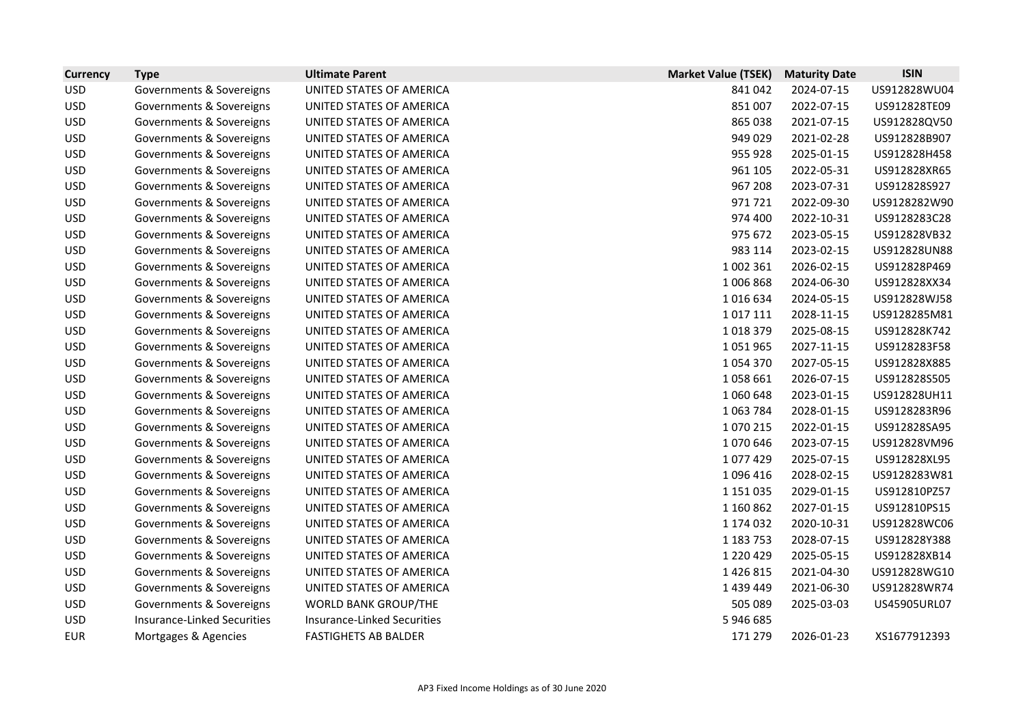| <b>Currency</b> | <b>Type</b>                        | <b>Ultimate Parent</b>             | <b>Market Value (TSEK)</b> | <b>Maturity Date</b> | <b>ISIN</b>  |
|-----------------|------------------------------------|------------------------------------|----------------------------|----------------------|--------------|
| <b>USD</b>      | Governments & Sovereigns           | UNITED STATES OF AMERICA           | 841042                     | 2024-07-15           | US912828WU04 |
| <b>USD</b>      | Governments & Sovereigns           | UNITED STATES OF AMERICA           | 851 007                    | 2022-07-15           | US912828TE09 |
| <b>USD</b>      | Governments & Sovereigns           | UNITED STATES OF AMERICA           | 865 038                    | 2021-07-15           | US912828QV50 |
| <b>USD</b>      | Governments & Sovereigns           | UNITED STATES OF AMERICA           | 949 029                    | 2021-02-28           | US912828B907 |
| <b>USD</b>      | Governments & Sovereigns           | UNITED STATES OF AMERICA           | 955 928                    | 2025-01-15           | US912828H458 |
| <b>USD</b>      | Governments & Sovereigns           | UNITED STATES OF AMERICA           | 961 105                    | 2022-05-31           | US912828XR65 |
| <b>USD</b>      | Governments & Sovereigns           | UNITED STATES OF AMERICA           | 967 208                    | 2023-07-31           | US912828S927 |
| <b>USD</b>      | Governments & Sovereigns           | UNITED STATES OF AMERICA           | 971721                     | 2022-09-30           | US9128282W90 |
| <b>USD</b>      | Governments & Sovereigns           | UNITED STATES OF AMERICA           | 974 400                    | 2022-10-31           | US9128283C28 |
| <b>USD</b>      | Governments & Sovereigns           | UNITED STATES OF AMERICA           | 975 672                    | 2023-05-15           | US912828VB32 |
| <b>USD</b>      | Governments & Sovereigns           | UNITED STATES OF AMERICA           | 983 114                    | 2023-02-15           | US912828UN88 |
| <b>USD</b>      | Governments & Sovereigns           | UNITED STATES OF AMERICA           | 1 002 361                  | 2026-02-15           | US912828P469 |
| <b>USD</b>      | Governments & Sovereigns           | UNITED STATES OF AMERICA           | 1006868                    | 2024-06-30           | US912828XX34 |
| <b>USD</b>      | Governments & Sovereigns           | UNITED STATES OF AMERICA           | 1016634                    | 2024-05-15           | US912828WJ58 |
| <b>USD</b>      | Governments & Sovereigns           | UNITED STATES OF AMERICA           | 1017111                    | 2028-11-15           | US9128285M81 |
| <b>USD</b>      | Governments & Sovereigns           | UNITED STATES OF AMERICA           | 1018379                    | 2025-08-15           | US912828K742 |
| <b>USD</b>      | Governments & Sovereigns           | UNITED STATES OF AMERICA           | 1051965                    | 2027-11-15           | US9128283F58 |
| <b>USD</b>      | Governments & Sovereigns           | UNITED STATES OF AMERICA           | 1054370                    | 2027-05-15           | US912828X885 |
| <b>USD</b>      | Governments & Sovereigns           | UNITED STATES OF AMERICA           | 1058661                    | 2026-07-15           | US912828S505 |
| <b>USD</b>      | Governments & Sovereigns           | UNITED STATES OF AMERICA           | 1060648                    | 2023-01-15           | US912828UH11 |
| <b>USD</b>      | Governments & Sovereigns           | UNITED STATES OF AMERICA           | 1063784                    | 2028-01-15           | US9128283R96 |
| <b>USD</b>      | Governments & Sovereigns           | UNITED STATES OF AMERICA           | 1070215                    | 2022-01-15           | US912828SA95 |
| <b>USD</b>      | Governments & Sovereigns           | UNITED STATES OF AMERICA           | 1070646                    | 2023-07-15           | US912828VM96 |
| <b>USD</b>      | Governments & Sovereigns           | UNITED STATES OF AMERICA           | 1077429                    | 2025-07-15           | US912828XL95 |
| <b>USD</b>      | Governments & Sovereigns           | UNITED STATES OF AMERICA           | 1096416                    | 2028-02-15           | US9128283W81 |
| <b>USD</b>      | Governments & Sovereigns           | UNITED STATES OF AMERICA           | 1 151 035                  | 2029-01-15           | US912810PZ57 |
| <b>USD</b>      | Governments & Sovereigns           | UNITED STATES OF AMERICA           | 1 160 862                  | 2027-01-15           | US912810PS15 |
| <b>USD</b>      | Governments & Sovereigns           | UNITED STATES OF AMERICA           | 1 174 032                  | 2020-10-31           | US912828WC06 |
| <b>USD</b>      | Governments & Sovereigns           | UNITED STATES OF AMERICA           | 1 183 753                  | 2028-07-15           | US912828Y388 |
| <b>USD</b>      | Governments & Sovereigns           | UNITED STATES OF AMERICA           | 1 2 2 0 4 2 9              | 2025-05-15           | US912828XB14 |
| <b>USD</b>      | Governments & Sovereigns           | UNITED STATES OF AMERICA           | 1426815                    | 2021-04-30           | US912828WG10 |
| <b>USD</b>      | Governments & Sovereigns           | UNITED STATES OF AMERICA           | 1 439 449                  | 2021-06-30           | US912828WR74 |
| <b>USD</b>      | Governments & Sovereigns           | <b>WORLD BANK GROUP/THE</b>        | 505 089                    | 2025-03-03           | US45905URL07 |
| <b>USD</b>      | <b>Insurance-Linked Securities</b> | <b>Insurance-Linked Securities</b> | 5 946 685                  |                      |              |
| <b>EUR</b>      | Mortgages & Agencies               | <b>FASTIGHETS AB BALDER</b>        | 171 279                    | 2026-01-23           | XS1677912393 |